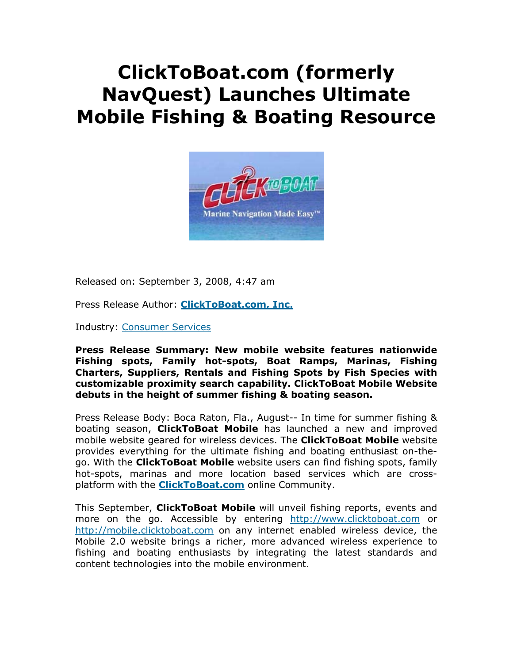# **ClickToBoat.com (formerly NavQuest) Launches Ultimate Mobile Fishing & Boating Resource**



Released on: September 3, 2008, 4:47 am

Press Release Author: **ClickToBoat.com, Inc.**

Industry: Consumer Services

**Press Release Summary: New mobile website features nationwide Fishing spots, Family hot-spots, Boat Ramps, Marinas, Fishing Charters, Suppliers, Rentals and Fishing Spots by Fish Species with customizable proximity search capability. ClickToBoat Mobile Website debuts in the height of summer fishing & boating season.** 

Press Release Body: Boca Raton, Fla., August-- In time for summer fishing & boating season, **ClickToBoat Mobile** has launched a new and improved mobile website geared for wireless devices. The **ClickToBoat Mobile** website provides everything for the ultimate fishing and boating enthusiast on-thego. With the **ClickToBoat Mobile** website users can find fishing spots, family hot-spots, marinas and more location based services which are crossplatform with the **ClickToBoat.com** online Community.

This September, **ClickToBoat Mobile** will unveil fishing reports, events and more on the go. Accessible by entering http://www.clicktoboat.com or http://mobile.clicktoboat.com on any internet enabled wireless device, the Mobile 2.0 website brings a richer, more advanced wireless experience to fishing and boating enthusiasts by integrating the latest standards and content technologies into the mobile environment.